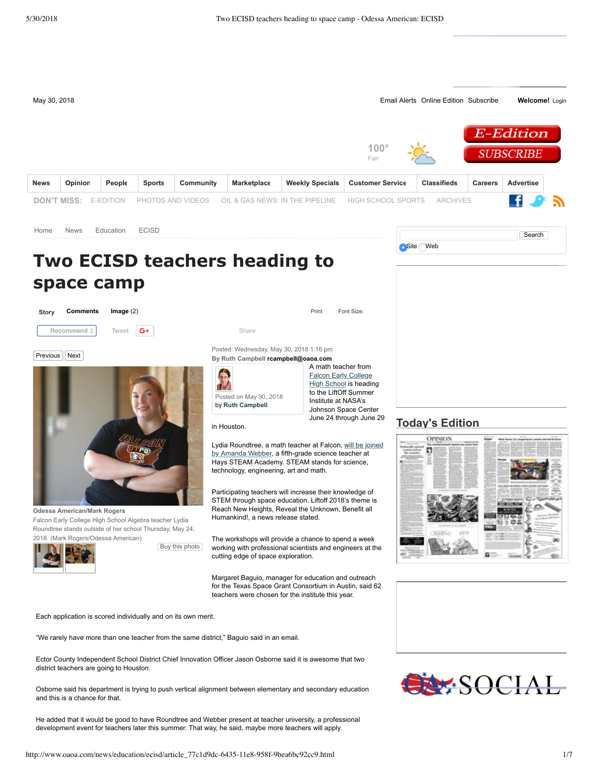

"We rarely have more than one teacher from the same district," Baguio said in an email.

Ector County Independent School District Chief Innovation Officer Jason Osborne said it is awesome that two district teachers are going to Houston.

Osborne said his department is trying to push vertical alignment between elementary and secondary education and this is a chance for that.

He added that it would be good to have Roundtree and Webber present at teacher university, a professional development event for teachers later this summer. That way, he said, maybe more teachers will apply.